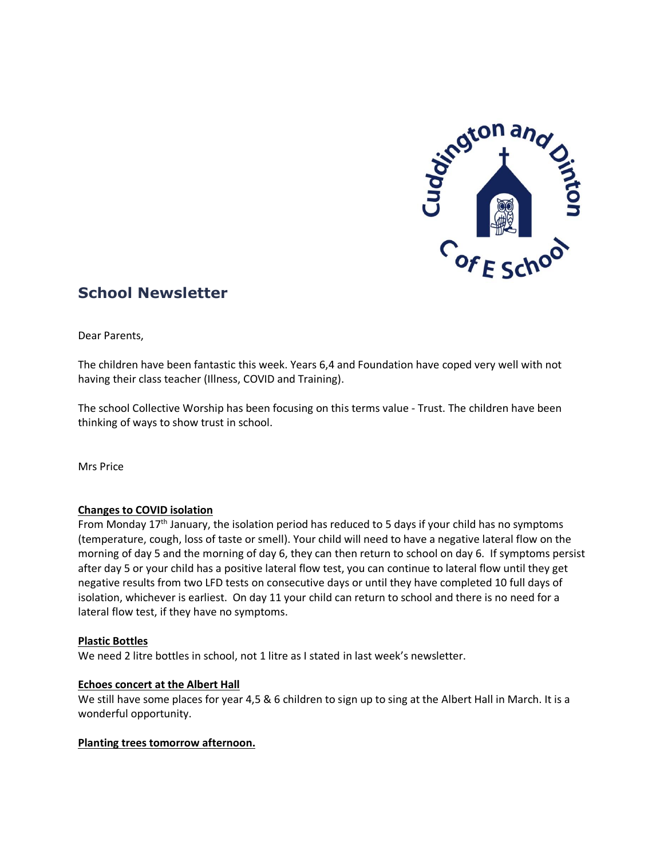

# **School Newsletter**

Dear Parents,

The children have been fantastic this week. Years 6,4 and Foundation have coped very well with not having their class teacher (Illness, COVID and Training).

The school Collective Worship has been focusing on this terms value - Trust. The children have been thinking of ways to show trust in school.

Mrs Price

## **Changes to COVID isolation**

From Monday  $17<sup>th</sup>$  January, the isolation period has reduced to 5 days if your child has no symptoms (temperature, cough, loss of taste or smell). Your child will need to have a negative lateral flow on the morning of day 5 and the morning of day 6, they can then return to school on day 6. If symptoms persist after day 5 or your child has a positive lateral flow test, you can continue to lateral flow until they get negative results from two LFD tests on consecutive days or until they have completed 10 full days of isolation, whichever is earliest. On day 11 your child can return to school and there is no need for a lateral flow test, if they have no symptoms.

## **Plastic Bottles**

We need 2 litre bottles in school, not 1 litre as I stated in last week's newsletter.

#### **Echoes concert at the Albert Hall**

We still have some places for year 4,5 & 6 children to sign up to sing at the Albert Hall in March. It is a wonderful opportunity.

#### **Planting trees tomorrow afternoon.**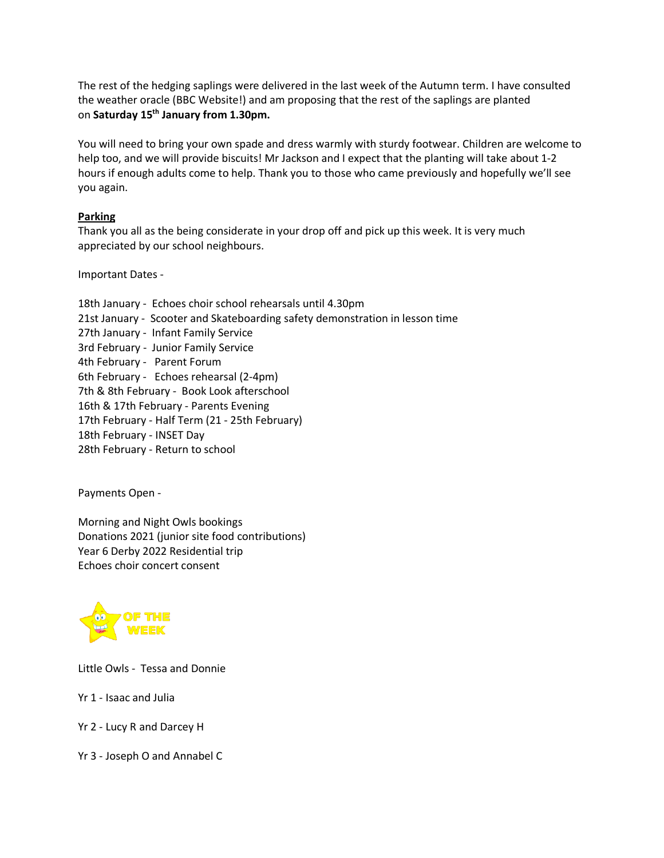The rest of the hedging saplings were delivered in the last week of the Autumn term. I have consulted the weather oracle (BBC Website!) and am proposing that the rest of the saplings are planted on **Saturday 15th January from 1.30pm.**

You will need to bring your own spade and dress warmly with sturdy footwear. Children are welcome to help too, and we will provide biscuits! Mr Jackson and I expect that the planting will take about 1-2 hours if enough adults come to help. Thank you to those who came previously and hopefully we'll see you again.

## **Parking**

Thank you all as the being considerate in your drop off and pick up this week. It is very much appreciated by our school neighbours.

Important Dates -

18th January - Echoes choir school rehearsals until 4.30pm 21st January - Scooter and Skateboarding safety demonstration in lesson time 27th January - Infant Family Service 3rd February - Junior Family Service 4th February - Parent Forum 6th February - Echoes rehearsal (2-4pm) 7th & 8th February - Book Look afterschool 16th & 17th February - Parents Evening 17th February - Half Term (21 - 25th February) 18th February - INSET Day 28th February - Return to school

Payments Open -

Morning and Night Owls bookings Donations 2021 (junior site food contributions) Year 6 Derby 2022 Residential trip Echoes choir concert consent



Little Owls - Tessa and Donnie

Yr 1 - Isaac and Julia

Yr 2 - Lucy R and Darcey H

Yr 3 - Joseph O and Annabel C